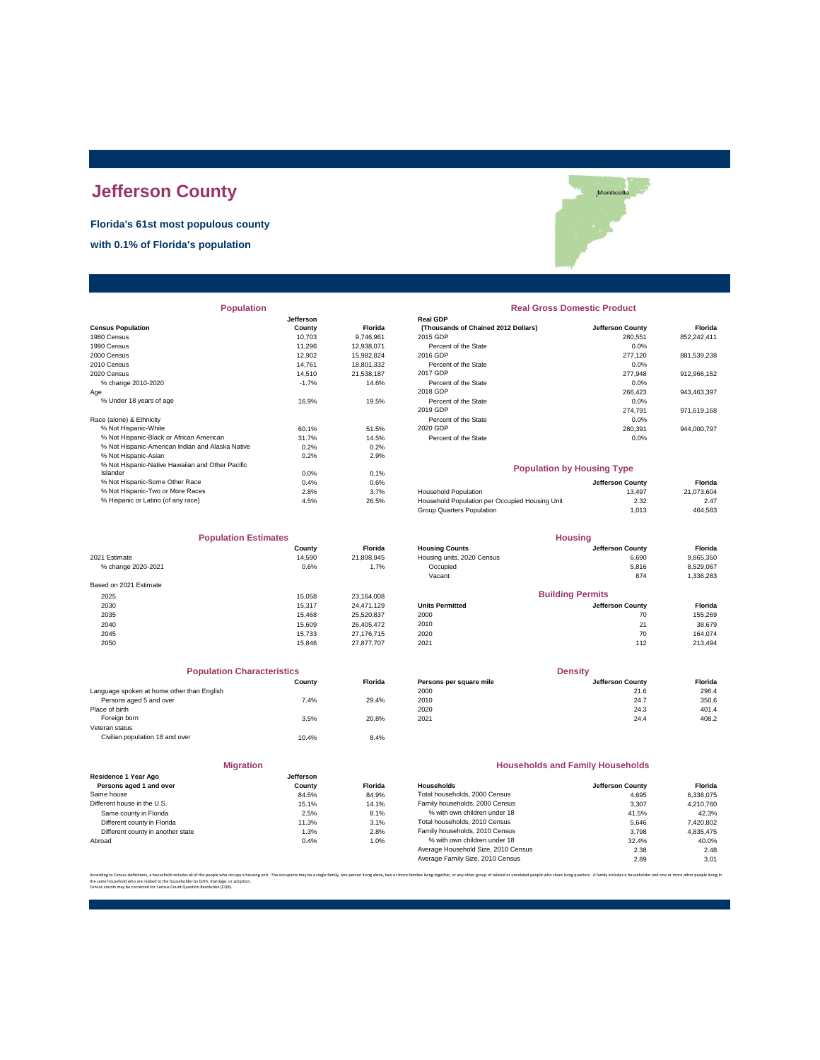# **Jefferson County**

**Florida's 61st most populous county**

**with 0.1% of Florida's population**



| <b>Population</b>                                |           |                | <b>Real Gross Domestic Product</b>             |                  |             |  |
|--------------------------------------------------|-----------|----------------|------------------------------------------------|------------------|-------------|--|
|                                                  | Jefferson |                | Real GDP                                       |                  |             |  |
| <b>Census Population</b>                         | County    | <b>Florida</b> | (Thousands of Chained 2012 Dollars)            | Jefferson County | Florida     |  |
| 1980 Census                                      | 10.703    | 9,746,961      | 2015 GDP                                       | 280,551          | 852,242,411 |  |
| 1990 Census                                      | 11,296    | 12,938,071     | Percent of the State                           | 0.0%             |             |  |
| 2000 Census                                      | 12,902    | 15,982,824     | 2016 GDP                                       | 277,120          | 881,539,238 |  |
| 2010 Census                                      | 14.761    | 18,801,332     | Percent of the State                           | 0.0%             |             |  |
| 2020 Census                                      | 14.510    | 21,538,187     | 2017 GDP                                       | 277,948          | 912,966,152 |  |
| % change 2010-2020                               | $-1.7%$   | 14.6%          | Percent of the State                           | 0.0%             |             |  |
| Age                                              |           |                | 2018 GDP                                       | 266,423          | 943,463,397 |  |
| % Under 18 years of age                          | 16.9%     | 19.5%          | Percent of the State                           | 0.0%             |             |  |
|                                                  |           |                | 2019 GDP                                       | 274,791          | 971,619,168 |  |
| Race (alone) & Ethnicity                         |           |                | Percent of the State                           | 0.0%             |             |  |
| % Not Hispanic-White                             | 60.1%     | 51.5%          | 2020 GDP                                       | 280,391          | 944,000,797 |  |
| % Not Hispanic-Black or African American         | 31.7%     | 14.5%          | Percent of the State                           | 0.0%             |             |  |
| % Not Hispanic-American Indian and Alaska Native | 0.2%      | 0.2%           |                                                |                  |             |  |
| % Not Hispanic-Asian                             | 0.2%      | 2.9%           |                                                |                  |             |  |
| % Not Hispanic-Native Hawaiian and Other Pacific |           |                | <b>Population by Housing Type</b>              |                  |             |  |
| Islander                                         | $0.0\%$   | 0.1%           |                                                |                  |             |  |
| % Not Hispanic-Some Other Race                   | 0.4%      | 0.6%           |                                                | Jefferson County | Florida     |  |
| % Not Hispanic-Two or More Races                 | 2.8%      | 3.7%           | <b>Household Population</b>                    | 13,497           | 21,073,604  |  |
| % Hispanic or Latino (of any race)               | 4.5%      | 26.5%          | Household Population per Occupied Housing Unit | 2.32             | 2.47        |  |

| <b>Population Estimates</b> |        |                | <b>Housing</b>             |                         |           |
|-----------------------------|--------|----------------|----------------------------|-------------------------|-----------|
|                             | County | <b>Florida</b> | <b>Housing Counts</b>      | Jefferson County        | Florida   |
| 2021 Estimate               | 14,590 | 21,898,945     | Housing units, 2020 Census | 6,690                   | 9,865,350 |
| % change 2020-2021          | 0.6%   | 1.7%           | Occupied                   | 5,816                   | 8,529,067 |
|                             |        |                | Vacant                     | 874                     | 1,336,283 |
| Based on 2021 Estimate      |        |                |                            |                         |           |
| 2025                        | 15.058 | 23,164,008     |                            | <b>Building Permits</b> |           |
| 2030                        | 15.317 | 24.471.129     | <b>Units Permitted</b>     | Jefferson County        | Florida   |
| 2035                        | 15.468 | 25,520,837     | 2000                       | 70                      | 155,269   |
| 2040                        | 15.609 | 26,405,472     | 2010                       | 21                      | 38,679    |
| 2045                        | 15.733 | 27,176,715     | 2020                       | 70                      | 164.074   |
| 2050                        | 15.846 | 27.877.707     | 2021                       | 112                     | 213,494   |

| <b>Population Characteristics</b> |                |
|-----------------------------------|----------------|
| County                            | <b>Florida</b> |
|                                   |                |
| 7.4%                              | 29.4%          |
|                                   |                |
| 3.5%                              | 20.8%          |
|                                   |                |
| 10.4%                             | 8.4%           |
|                                   |                |

|                                                 | <b>Migration</b>    |      |
|-------------------------------------------------|---------------------|------|
| Residence 1 Year Ago<br>Persons aged 1 and over | Jefferson<br>County | Flor |
| Same house                                      | 84.5%               | 84.  |
| Different house in the U.S.                     | 15.1%               | 14.  |
| Same county in Florida                          | 2.5%                | 8.   |
| Different county in Florida                     | 11.3%               | 3.   |
| Different county in another state               | 1.3%                | 2.   |
| Abroad                                          | 0.4%                | 1.   |

## **Population Real Gross Domestic Product**

|                                                  | Jefferson |                | <b>Real GDP</b>                     |                  |             |
|--------------------------------------------------|-----------|----------------|-------------------------------------|------------------|-------------|
| sus Population                                   | County    | <b>Florida</b> | (Thousands of Chained 2012 Dollars) | Jefferson County | Florida     |
| 0 Census                                         | 10.703    | 9.746.961      | 2015 GDP                            | 280.551          | 852.242.411 |
| 0 Census                                         | 11.296    | 12.938.071     | Percent of the State                | 0.0%             |             |
| 0 Census                                         | 12.902    | 15.982.824     | 2016 GDP                            | 277.120          | 881.539.238 |
| 0 Census                                         | 14.761    | 18.801.332     | Percent of the State                | 0.0%             |             |
| 0 Census                                         | 14.510    | 21.538.187     | 2017 GDP                            | 277.948          | 912.966.152 |
| % change 2010-2020                               | $-1.7%$   | 14.6%          | Percent of the State                | $0.0\%$          |             |
|                                                  |           |                | 2018 GDP                            | 266,423          | 943,463,397 |
| % Under 18 years of age                          | 16.9%     | 19.5%          | Percent of the State                | $0.0\%$          |             |
|                                                  |           |                | 2019 GDP                            | 274.791          | 971,619,168 |
| e (alone) & Ethnicity                            |           |                | Percent of the State                | 0.0%             |             |
| % Not Hispanic-White                             | 60.1%     | 51.5%          | 2020 GDP                            | 280.391          | 944.000.797 |
| % Not Hispanic-Black or African American         | 31.7%     | 14.5%          | Percent of the State                | 0.0%             |             |
| % Not Hispanic-American Indian and Alaska Native | 0.2%      | 0.2%           |                                     |                  |             |

#### **Population by Housing Type**

| % Not Hispanic-Some Other Race     | 0.4% | 0.6%  |                                                | Jefferson Countv | Florida    |
|------------------------------------|------|-------|------------------------------------------------|------------------|------------|
| % Not Hispanic-Two or More Races   | 2.8% | 3.7%  | <b>Household Population</b>                    | 13.497           | 21.073.604 |
| % Hispanic or Latino (of any race) | 4.5% | 26.5% | Household Population per Occupied Housing Unit | 2.32             | 2.47       |
|                                    |      |       | Group Quarters Population                      | 1.013            | 464,583    |
|                                    |      |       |                                                |                  |            |

| <b>Population Estimates</b> |        |                | <b>Housing</b>             |                         |           |
|-----------------------------|--------|----------------|----------------------------|-------------------------|-----------|
|                             | County | <b>Florida</b> | <b>Housing Counts</b>      | Jefferson County        | Florida   |
| 2021 Estimate               | 14.590 | 21.898.945     | Housing units, 2020 Census | 6.690                   | 9,865,350 |
| % change 2020-2021          | 0.6%   | 1.7%           | Occupied                   | 5.816                   | 8,529,067 |
|                             |        |                | Vacant                     | 874                     | 1,336,283 |
| Based on 2021 Estimate      |        |                |                            |                         |           |
| 2025                        | 15.058 | 23.164.008     |                            | <b>Building Permits</b> |           |
| 2030                        | 15.317 | 24.471.129     | <b>Units Permitted</b>     | Jefferson County        | Florida   |
| 2035                        | 15.468 | 25.520.837     | 2000                       | 70                      | 155.269   |
| 2040                        | 15.609 | 26.405.472     | 2010                       | 21                      | 38.679    |
|                             |        |                |                            |                         | .         |

| <b>Population Characteristics</b>          |        |                | <b>Density</b>          |                  |         |
|--------------------------------------------|--------|----------------|-------------------------|------------------|---------|
|                                            | County | <b>Florida</b> | Persons per square mile | Jefferson County | Florida |
| Language spoken at home other than English |        |                | 2000                    | 21.6             | 296.4   |
| Persons aged 5 and over                    | 7.4%   | 29.4%          | 2010                    | 24.7             | 350.6   |
| Place of birth                             |        |                | 2020                    | 24.3             | 401.4   |
| Foreign born                               | 3.5%   | 20.8%          | 2021                    | 24.4             | 408.2   |

#### **Households and Family Households**

| Residence ⊺ rear Ado              | <b>Jefferson</b> |                |                                     |                  |           |
|-----------------------------------|------------------|----------------|-------------------------------------|------------------|-----------|
| Persons aged 1 and over           | County           | <b>Florida</b> | <b>Households</b>                   | Jefferson County | Florida   |
| Same house                        | 84.5%            | 84.9%          | Total households, 2000 Census       | 4.695            | 6.338.075 |
| Different house in the U.S.       | 15.1%            | 14.1%          | Family households, 2000 Census      | 3.307            | 4.210.760 |
| Same county in Florida            | 2.5%             | 8.1%           | % with own children under 18        | 41.5%            | 42.3%     |
| Different county in Florida       | 11.3%            | 3.1%           | Total households, 2010 Census       | 5.646            | 7,420,802 |
| Different county in another state | 1.3%             | 2.8%           | Family households, 2010 Census      | 3.798            | 4.835.475 |
| Abroad                            | 0.4%             | 1.0%           | % with own children under 18        | 32.4%            | 40.0%     |
|                                   |                  |                | Average Household Size, 2010 Census | 2.38             | 2.48      |
|                                   |                  |                | Average Family Size, 2010 Census    | 2.89             | 3.01      |
|                                   |                  |                |                                     |                  |           |

.<br>The same of the proup of related or unrelated people who share living quarters. A family includes a householder and one or no the same household who are related to the householder by birth, marriage, or adoption. Census counts may be corrected for Census Count Question Resolution (CQR).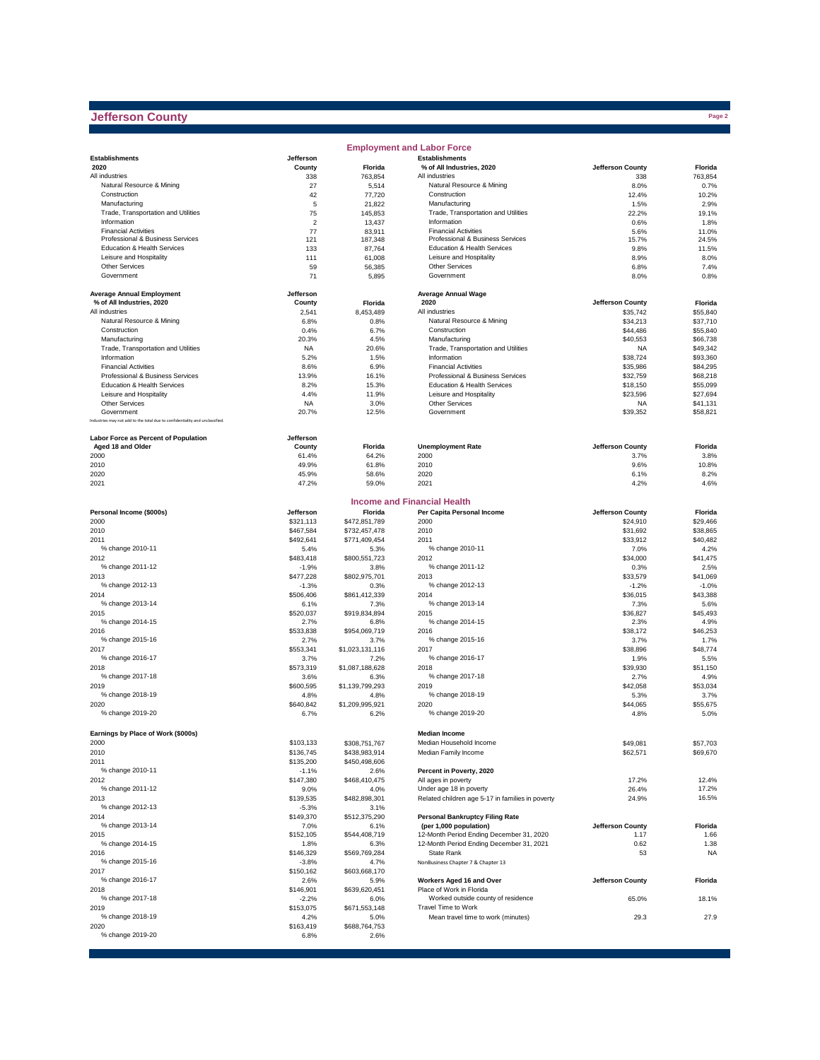#### **Jefferson County**

|                                                                              |                      |                         | <b>Employment and Labor Force</b>                    |                          |                      |
|------------------------------------------------------------------------------|----------------------|-------------------------|------------------------------------------------------|--------------------------|----------------------|
| <b>Establishments</b>                                                        | Jefferson            |                         | <b>Establishments</b>                                |                          |                      |
| 2020                                                                         | County               | Florida                 | % of All Industries, 2020                            | Jefferson County         | Florida              |
| All industries                                                               | 338                  | 763,854                 | All industries                                       | 338                      | 763,854              |
| Natural Resource & Mining                                                    | 27                   | 5,514                   | Natural Resource & Mining                            | 8.0%                     | 0.7%                 |
| Construction                                                                 | 42<br>5              | 77,720                  | Construction                                         | 12.4%                    | 10.2%<br>2.9%        |
| Manufacturing<br>Trade, Transportation and Utilities                         | 75                   | 21,822<br>145,853       | Manufacturing<br>Trade, Transportation and Utilities | 1.5%<br>22.2%            | 19.1%                |
| Information                                                                  | $\overline{2}$       | 13,437                  | Information                                          | 0.6%                     | 1.8%                 |
| <b>Financial Activities</b>                                                  | 77                   | 83,911                  | <b>Financial Activities</b>                          | 5.6%                     | 11.0%                |
| Professional & Business Services                                             | 121                  | 187,348                 | Professional & Business Services                     | 15.7%                    | 24.5%                |
| Education & Health Services                                                  | 133                  | 87,764                  | Education & Health Services                          | 9.8%                     | 11.5%                |
| Leisure and Hospitality                                                      | 111                  | 61,008                  | Leisure and Hospitality                              | 8.9%                     | 8.0%                 |
| <b>Other Services</b>                                                        | 59                   | 56,385                  | <b>Other Services</b>                                | 6.8%                     | 7.4%                 |
| Government                                                                   | 71                   | 5,895                   | Government                                           | 8.0%                     | 0.8%                 |
| <b>Average Annual Employment</b>                                             | Jefferson            |                         | <b>Average Annual Wage</b>                           |                          |                      |
| % of All Industries, 2020                                                    | County               | Florida                 | 2020                                                 | Jefferson County         | Florida              |
| All industries                                                               | 2,541                | 8,453,489               | All industries                                       | \$35,742                 | \$55,840             |
| Natural Resource & Mining                                                    | 6.8%                 | 0.8%                    | Natural Resource & Mining                            | \$34,213                 | \$37,710             |
| Construction                                                                 | 0.4%                 | 6.7%                    | Construction                                         | \$44,486                 | \$55,840             |
| Manufacturing                                                                | 20.3%                | 4.5%                    | Manufacturing                                        | \$40,553                 | \$66,738             |
| Trade, Transportation and Utilities                                          | <b>NA</b>            | 20.6%                   | Trade, Transportation and Utilities                  | <b>NA</b>                | \$49,342             |
| Information                                                                  | 5.2%                 | 1.5%                    | Information                                          | \$38,724                 | \$93,360             |
| <b>Financial Activities</b>                                                  | 8.6%                 | 6.9%                    | <b>Financial Activities</b>                          | \$35,986                 | \$84,295             |
| Professional & Business Services                                             | 13.9%                | 16.1%                   | Professional & Business Services                     | \$32,759                 | \$68,218             |
| Education & Health Services                                                  | 8.2%                 | 15.3%                   | <b>Education &amp; Health Services</b>               | \$18,150                 | \$55,099             |
| Leisure and Hospitality                                                      | 4.4%                 | 11.9%                   | Leisure and Hospitality                              | \$23,596                 | \$27,694             |
| <b>Other Services</b><br>Government                                          | <b>NA</b><br>20.7%   | 3.0%<br>12.5%           | <b>Other Services</b><br>Government                  | <b>NA</b><br>\$39,352    | \$41,131<br>\$58,821 |
| Industries may not add to the total due to confidentiality and unclassified. |                      |                         |                                                      |                          |                      |
|                                                                              |                      |                         |                                                      |                          |                      |
| Labor Force as Percent of Population                                         | Jefferson            |                         |                                                      |                          |                      |
| Aged 18 and Older<br>2000                                                    | County<br>61.4%      | Florida<br>64.2%        | <b>Unemployment Rate</b><br>2000                     | Jefferson County<br>3.7% | Florida<br>3.8%      |
|                                                                              | 49.9%                | 61.8%                   | 2010                                                 | 9.6%                     | 10.8%                |
| 2010<br>2020                                                                 | 45.9%                | 58.6%                   | 2020                                                 | 6.1%                     | 8.2%                 |
| 2021                                                                         | 47.2%                | 59.0%                   | 2021                                                 | 4.2%                     | 4.6%                 |
|                                                                              |                      |                         |                                                      |                          |                      |
|                                                                              |                      |                         | <b>Income and Financial Health</b>                   |                          |                      |
| Personal Income (\$000s)                                                     | Jefferson            | Florida                 | Per Capita Personal Income                           | Jefferson County         | Florida              |
| 2000                                                                         | \$321,113            | \$472,851,789           | 2000                                                 | \$24,910                 | \$29,466             |
| 2010                                                                         | \$467,584            | \$732,457,478           | 2010                                                 | \$31,692                 | \$38,865             |
| 2011                                                                         | \$492,641            | \$771,409,454           | 2011                                                 | \$33,912                 | \$40,482             |
| % change 2010-11                                                             | 5.4%                 | 5.3%                    | % change 2010-11                                     | 7.0%                     | 4.2%                 |
| 2012                                                                         | \$483,418            | \$800,551,723           | 2012                                                 | \$34,000                 | \$41,475             |
| % change 2011-12<br>2013                                                     | $-1.9%$              | 3.8%                    | % change 2011-12<br>2013                             | 0.3%<br>\$33,579         | 2.5%<br>\$41,069     |
| % change 2012-13                                                             | \$477,228<br>$-1.3%$ | \$802,975,701<br>0.3%   | % change 2012-13                                     | $-1.2%$                  | $-1.0%$              |
| 2014                                                                         | \$506,406            | \$861,412,339           | 2014                                                 | \$36,015                 | \$43,388             |
| % change 2013-14                                                             | 6.1%                 | 7.3%                    | % change 2013-14                                     | 7.3%                     | 5.6%                 |
| 2015                                                                         | \$520,037            | \$919,834,894           | 2015                                                 | \$36,827                 | \$45,493             |
| % change 2014-15                                                             | 2.7%                 | 6.8%                    | % change 2014-15                                     | 2.3%                     | 4.9%                 |
| 2016                                                                         | \$533,838            | \$954,069,719           | 2016                                                 | \$38,172                 | \$46,253             |
| % change 2015-16                                                             | 2.7%                 | 3.7%                    | % change 2015-16                                     | 3.7%                     | 1.7%                 |
| 2017                                                                         | \$553,341            | \$1,023,131,116         | 2017                                                 | \$38,896                 | \$48,774             |
| % change 2016-17                                                             | 3.7%                 | 7.2%                    | % change 2016-17                                     | 1.9%                     | 5.5%                 |
| 2018                                                                         | \$573,319            | \$1,087,188,628         | 2018                                                 | \$39,930                 | \$51,150             |
| % change 2017-18                                                             | 3.6%                 | 6.3%                    | % change 2017-18                                     | 2.7%                     | 4.9%                 |
| 2019                                                                         | \$600,595            | \$1,139,799,293         | 2019                                                 | \$42,058                 | \$53,034             |
| % change 2018-19                                                             | 4.8%                 | 4.8%                    | % change 2018-19                                     | 5.3%                     | 3.7%                 |
| 2020<br>% change 2019-20                                                     | \$640,842<br>6.7%    | \$1,209,995,921<br>6.2% | 2020<br>% change 2019-20                             | \$44,065<br>4.8%         | \$55,675<br>5.0%     |
|                                                                              |                      |                         |                                                      |                          |                      |
| Earnings by Place of Work (\$000s)                                           |                      |                         | <b>Median Income</b>                                 |                          |                      |
| 2000                                                                         | \$103,133            | \$308,751,767           | Median Household Income                              | \$49,081                 | \$57,703             |
| 2010                                                                         | \$136,745            | \$438,983,914           | Median Family Income                                 | \$62,571                 | \$69,670             |
| 2011                                                                         | \$135,200            | \$450,498,606           |                                                      |                          |                      |
| % change 2010-11                                                             | $-1.1%$              | 2.6%                    | Percent in Poverty, 2020                             |                          |                      |
| 2012                                                                         | \$147,380            | \$468,410,475           | All ages in poverty                                  | 17.2%                    | 12.4%                |
| % change 2011-12                                                             | 9.0%                 | 4.0%                    | Under age 18 in poverty                              | 26.4%                    | 17.2%                |
| 2013                                                                         | \$139,535            | \$482,898,301           | Related children age 5-17 in families in poverty     | 24.9%                    | 16.5%                |
| % change 2012-13                                                             | $-5.3%$              | 3.1%                    |                                                      |                          |                      |
| 2014                                                                         | \$149,370            | \$512,375,290           | <b>Personal Bankruptcy Filing Rate</b>               |                          |                      |
| % change 2013-14                                                             | 7.0%                 | 6.1%                    | (per 1,000 population)                               | Jefferson County         | Florida              |
| 2015                                                                         | \$152,105            | \$544,408,719           | 12-Month Period Ending December 31, 2020             | 1.17                     | 1.66                 |
| % change 2014-15                                                             | 1.8%                 | 6.3%                    | 12-Month Period Ending December 31, 2021             | 0.62                     | 1.38                 |
| 2016<br>% change 2015-16                                                     | \$146,329<br>$-3.8%$ | \$569,769,284<br>4.7%   | State Rank<br>NonBusiness Chapter 7 & Chapter 13     | 53                       | <b>NA</b>            |
| 2017                                                                         | \$150,162            | \$603,668,170           |                                                      |                          |                      |
| % change 2016-17                                                             | 2.6%                 | 5.9%                    | Workers Aged 16 and Over                             | Jefferson County         | Florida              |
| 2018                                                                         | \$146,901            | \$639,620,451           | Place of Work in Florida                             |                          |                      |
| % change 2017-18                                                             | $-2.2%$              | 6.0%                    | Worked outside county of residence                   | 65.0%                    | 18.1%                |
| 2019                                                                         | \$153,075            | \$671,553,148           | Travel Time to Work                                  |                          |                      |
| % change 2018-19                                                             | 4.2%                 | 5.0%                    | Mean travel time to work (minutes)                   | 29.3                     | 27.9                 |
| 2020                                                                         | \$163,419            | \$688,764,753           |                                                      |                          |                      |
| % change 2019-20                                                             | 6.8%                 | 2.6%                    |                                                      |                          |                      |